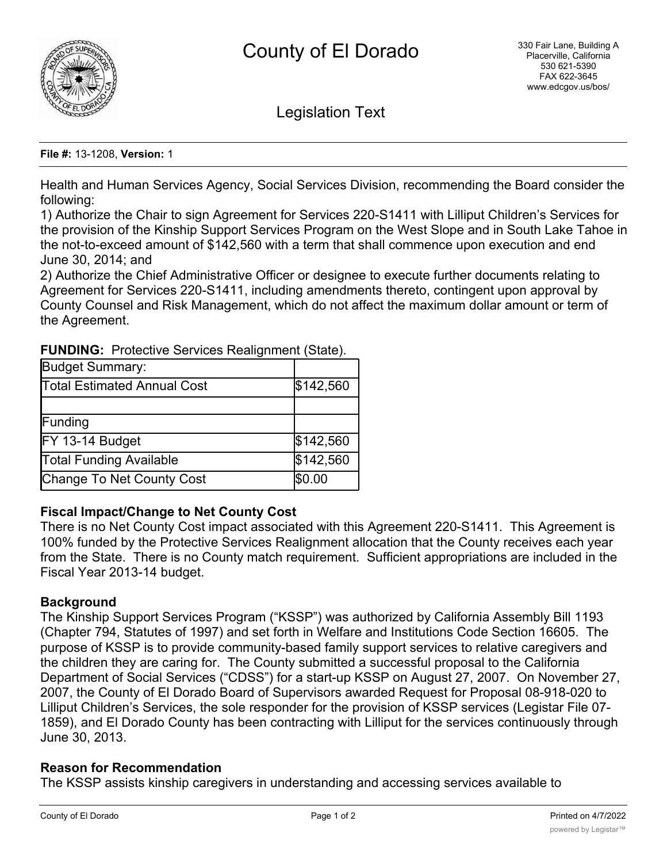

Legislation Text

**File #:** 13-1208, **Version:** 1

Health and Human Services Agency, Social Services Division, recommending the Board consider the following:

1) Authorize the Chair to sign Agreement for Services 220-S1411 with Lilliput Children's Services for the provision of the Kinship Support Services Program on the West Slope and in South Lake Tahoe in the not-to-exceed amount of \$142,560 with a term that shall commence upon execution and end June 30, 2014; and

2) Authorize the Chief Administrative Officer or designee to execute further documents relating to Agreement for Services 220-S1411, including amendments thereto, contingent upon approval by County Counsel and Risk Management, which do not affect the maximum dollar amount or term of the Agreement.

| <b>Budget Summary:</b>           |           |
|----------------------------------|-----------|
| Total Estimated Annual Cost      | \$142,560 |
|                                  |           |
| Funding                          |           |
| FY 13-14 Budget                  | \$142,560 |
| <b>Total Funding Available</b>   | \$142,560 |
| <b>Change To Net County Cost</b> | \$0.00    |

**FUNDING:** Protective Services Realignment (State).

# **Fiscal Impact/Change to Net County Cost**

There is no Net County Cost impact associated with this Agreement 220-S1411. This Agreement is 100% funded by the Protective Services Realignment allocation that the County receives each year from the State. There is no County match requirement. Sufficient appropriations are included in the Fiscal Year 2013-14 budget.

# **Background**

The Kinship Support Services Program ("KSSP") was authorized by California Assembly Bill 1193 (Chapter 794, Statutes of 1997) and set forth in Welfare and Institutions Code Section 16605. The purpose of KSSP is to provide community-based family support services to relative caregivers and the children they are caring for. The County submitted a successful proposal to the California Department of Social Services ("CDSS") for a start-up KSSP on August 27, 2007. On November 27, 2007, the County of El Dorado Board of Supervisors awarded Request for Proposal 08-918-020 to Lilliput Children's Services, the sole responder for the provision of KSSP services (Legistar File 07- 1859), and El Dorado County has been contracting with Lilliput for the services continuously through June 30, 2013.

# **Reason for Recommendation**

The KSSP assists kinship caregivers in understanding and accessing services available to